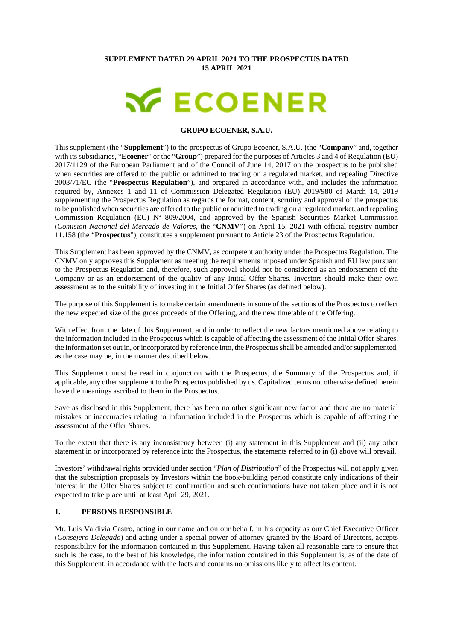#### **SUPPLEMENT DATED 29 APRIL 2021 TO THE PROSPECTUS DATED 15 APRIL 2021**

# **X ECOENER**

#### **GRUPO ECOENER, S.A.U.**

This supplement (the "**Supplement**") to the prospectus of Grupo Ecoener, S.A.U. (the "**Company**" and, together with its subsidiaries, "**Ecoener**" or the "**Group**") prepared for the purposes of Articles 3 and 4 of Regulation (EU) 2017/1129 of the European Parliament and of the Council of June 14, 2017 on the prospectus to be published when securities are offered to the public or admitted to trading on a regulated market, and repealing Directive 2003/71/EC (the "**Prospectus Regulation**"), and prepared in accordance with, and includes the information required by, Annexes 1 and 11 of Commission Delegated Regulation (EU) 2019/980 of March 14, 2019 supplementing the Prospectus Regulation as regards the format, content, scrutiny and approval of the prospectus to be published when securities are offered to the public or admitted to trading on a regulated market, and repealing Commission Regulation (EC) Nº 809/2004, and approved by the Spanish Securities Market Commission (*Comisión Nacional del Mercado de Valores*, the "**CNMV**") on April 15, 2021 with official registry number 11.158 (the "**Prospectus**"), constitutes a supplement pursuant to Article 23 of the Prospectus Regulation.

This Supplement has been approved by the CNMV, as competent authority under the Prospectus Regulation. The CNMV only approves this Supplement as meeting the requirements imposed under Spanish and EU law pursuant to the Prospectus Regulation and, therefore, such approval should not be considered as an endorsement of the Company or as an endorsement of the quality of any Initial Offer Shares. Investors should make their own assessment as to the suitability of investing in the Initial Offer Shares (as defined below).

The purpose of this Supplement is to make certain amendments in some of the sections of the Prospectus to reflect the new expected size of the gross proceeds of the Offering, and the new timetable of the Offering.

With effect from the date of this Supplement, and in order to reflect the new factors mentioned above relating to the information included in the Prospectus which is capable of affecting the assessment of the Initial Offer Shares, the information set out in, or incorporated by reference into, the Prospectus shall be amended and/or supplemented, as the case may be, in the manner described below.

This Supplement must be read in conjunction with the Prospectus, the Summary of the Prospectus and, if applicable, any other supplement to the Prospectus published by us. Capitalized terms not otherwise defined herein have the meanings ascribed to them in the Prospectus.

Save as disclosed in this Supplement, there has been no other significant new factor and there are no material mistakes or inaccuracies relating to information included in the Prospectus which is capable of affecting the assessment of the Offer Shares.

To the extent that there is any inconsistency between (i) any statement in this Supplement and (ii) any other statement in or incorporated by reference into the Prospectus, the statements referred to in (i) above will prevail.

Investors' withdrawal rights provided under section "*Plan of Distribution*" of the Prospectus will not apply given that the subscription proposals by Investors within the book-building period constitute only indications of their interest in the Offer Shares subject to confirmation and such confirmations have not taken place and it is not expected to take place until at least April 29, 2021.

#### **1. PERSONS RESPONSIBLE**

Mr. Luis Valdivia Castro, acting in our name and on our behalf, in his capacity as our Chief Executive Officer (*Consejero Delegado*) and acting under a special power of attorney granted by the Board of Directors, accepts responsibility for the information contained in this Supplement. Having taken all reasonable care to ensure that such is the case, to the best of his knowledge, the information contained in this Supplement is, as of the date of this Supplement, in accordance with the facts and contains no omissions likely to affect its content.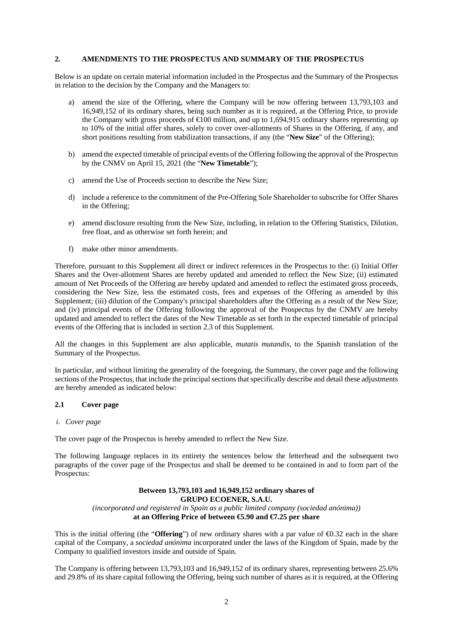## **2. AMENDMENTS TO THE PROSPECTUS AND SUMMARY OF THE PROSPECTUS**

Below is an update on certain material information included in the Prospectus and the Summary of the Prospectus in relation to the decision by the Company and the Managers to:

- a) amend the size of the Offering, where the Company will be now offering between 13,793,103 and 16,949,152 of its ordinary shares, being such number as it is required, at the Offering Price, to provide the Company with gross proceeds of  $\bigoplus$  00 million, and up to 1,694,915 ordinary shares representing up to 10% of the initial offer shares, solely to cover over-allotments of Shares in the Offering, if any, and short positions resulting from stabilization transactions, if any (the "**New Size**" of the Offering);
- b) amend the expected timetable of principal events of the Offering following the approval of the Prospectus by the CNMV on April 15, 2021 (the "**New Timetable**");
- c) amend the Use of Proceeds section to describe the New Size;
- d) include a reference to the commitment of the Pre-Offering Sole Shareholder to subscribe for Offer Shares in the Offering;
- e) amend disclosure resulting from the New Size, including, in relation to the Offering Statistics, Dilution, free float, and as otherwise set forth herein; and
- f) make other minor amendments.

Therefore, pursuant to this Supplement all direct or indirect references in the Prospectus to the: (i) Initial Offer Shares and the Over-allotment Shares are hereby updated and amended to reflect the New Size; (ii) estimated amount of Net Proceeds of the Offering are hereby updated and amended to reflect the estimated gross proceeds, considering the New Size, less the estimated costs, fees and expenses of the Offering as amended by this Supplement; (iii) dilution of the Company's principal shareholders after the Offering as a result of the New Size; and (iv) principal events of the Offering following the approval of the Prospectus by the CNMV are hereby updated and amended to reflect the dates of the New Timetable as set forth in the expected timetable of principal events of the Offering that is included in section 2.3 of this Supplement.

All the changes in this Supplement are also applicable, *mutatis mutandis*, to the Spanish translation of the Summary of the Prospectus.

In particular, and without limiting the generality of the foregoing, the Summary, the cover page and the following sections of the Prospectus, that include the principal sections that specifically describe and detail these adjustments are hereby amended as indicated below:

## **2.1 Cover page**

#### *i. Cover page*

The cover page of the Prospectus is hereby amended to reflect the New Size.

The following language replaces in its entirety the sentences below the letterhead and the subsequent two paragraphs of the cover page of the Prospectus and shall be deemed to be contained in and to form part of the Prospectus:

#### **Between 13,793,103 and 16,949,152 ordinary shares of GRUPO ECOENER, S.A.U.**  *(incorporated and registered in Spain as a public limited company (sociedad anónima))*  **at an Offering Price of between €5.90 and €7.25 per share**

This is the initial offering (the "**Offering**") of new ordinary shares with a par value of  $\Theta$ .32 each in the share capital of the Company, a *sociedad anónima* incorporated under the laws of the Kingdom of Spain, made by the Company to qualified investors inside and outside of Spain.

The Company is offering between 13,793,103 and 16,949,152 of its ordinary shares, representing between 25.6% and 29.8% of its share capital following the Offering, being such number of shares as it is required, at the Offering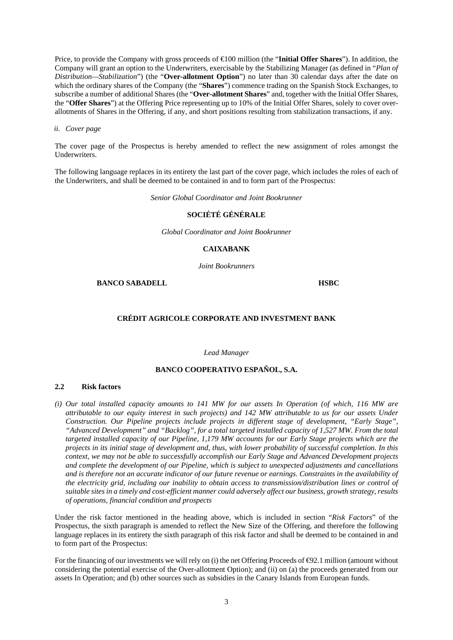Price, to provide the Company with gross proceeds of €100 million (the "**Initial Offer Shares**"). In addition, the Company will grant an option to the Underwriters, exercisable by the Stabilizing Manager (as defined in "*Plan of Distribution—Stabilization*") (the "**Over-allotment Option**") no later than 30 calendar days after the date on which the ordinary shares of the Company (the "**Shares**") commence trading on the Spanish Stock Exchanges, to subscribe a number of additional Shares (the "**Over-allotment Shares**" and, together with the Initial Offer Shares, the "**Offer Shares**") at the Offering Price representing up to 10% of the Initial Offer Shares, solely to cover overallotments of Shares in the Offering, if any, and short positions resulting from stabilization transactions, if any.

#### *ii. Cover page*

The cover page of the Prospectus is hereby amended to reflect the new assignment of roles amongst the Underwriters.

The following language replaces in its entirety the last part of the cover page, which includes the roles of each of the Underwriters, and shall be deemed to be contained in and to form part of the Prospectus:

*Senior Global Coordinator and Joint Bookrunner* 

## **SOCIÉTÉ GÉNÉRALE**

*Global Coordinator and Joint Bookrunner* 

#### **CAIXABANK**

*Joint Bookrunners* 

**BANCO SABADELL HSBC** 

#### **CRÉDIT AGRICOLE CORPORATE AND INVESTMENT BANK**

*Lead Manager* 

# **BANCO COOPERATIVO ESPAÑOL, S.A.**

#### **2.2 Risk factors**

*(i) Our total installed capacity amounts to 141 MW for our assets In Operation (of which, 116 MW are attributable to our equity interest in such projects) and 142 MW attributable to us for our assets Under Construction. Our Pipeline projects include projects in different stage of development, "Early Stage", "Advanced Development" and "Backlog", for a total targeted installed capacity of 1,527 MW. From the total targeted installed capacity of our Pipeline, 1,179 MW accounts for our Early Stage projects which are the projects in its initial stage of development and, thus, with lower probability of successful completion. In this context, we may not be able to successfully accomplish our Early Stage and Advanced Development projects and complete the development of our Pipeline, which is subject to unexpected adjustments and cancellations and is therefore not an accurate indicator of our future revenue or earnings. Constraints in the availability of the electricity grid, including our inability to obtain access to transmission/distribution lines or control of suitable sites in a timely and cost-efficient manner could adversely affect our business, growth strategy, results of operations, financial condition and prospects* 

Under the risk factor mentioned in the heading above, which is included in section "*Risk Factors*" of the Prospectus, the sixth paragraph is amended to reflect the New Size of the Offering, and therefore the following language replaces in its entirety the sixth paragraph of this risk factor and shall be deemed to be contained in and to form part of the Prospectus:

For the financing of our investments we will rely on (i) the net Offering Proceeds of  $\Theta$ 2.1 million (amount without considering the potential exercise of the Over-allotment Option); and (ii) on (a) the proceeds generated from our assets In Operation; and (b) other sources such as subsidies in the Canary Islands from European funds.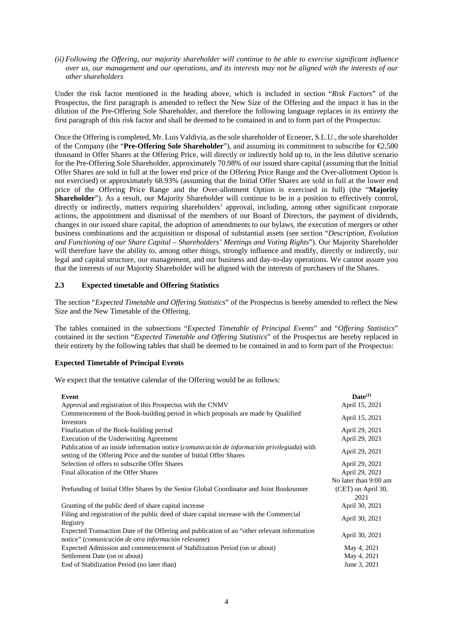*(ii) Following the Offering, our majority shareholder will continue to be able to exercise significant influence over us, our management and our operations, and its interests may not be aligned with the interests of our other shareholders* 

Under the risk factor mentioned in the heading above, which is included in section "*Risk Factors*" of the Prospectus, the first paragraph is amended to reflect the New Size of the Offering and the impact it has in the dilution of the Pre-Offering Sole Shareholder, and therefore the following language replaces in its entirety the first paragraph of this risk factor and shall be deemed to be contained in and to form part of the Prospectus:

Once the Offering is completed, Mr. Luis Valdivia, as the sole shareholder of Ecoener, S.L.U., the sole shareholder of the Company (the "**Pre-Offering Sole Shareholder**"), and assuming its commitment to subscribe for €2,500 thousand in Offer Shares at the Offering Price, will directly or indirectly hold up to, in the less dilutive scenario for the Pre-Offering Sole Shareholder, approximately 70.98% of our issued share capital (assuming that the Initial Offer Shares are sold in full at the lower end price of the Offering Price Range and the Over-allotment Option is not exercised) or approximately 68.93% (assuming that the Initial Offer Shares are sold in full at the lower end price of the Offering Price Range and the Over-allotment Option is exercised in full) (the "**Majority Shareholder**"). As a result, our Majority Shareholder will continue to be in a position to effectively control, directly or indirectly, matters requiring shareholders' approval, including, among other significant corporate actions, the appointment and dismissal of the members of our Board of Directors, the payment of dividends, changes in our issued share capital, the adoption of amendments to our bylaws, the execution of mergers or other business combinations and the acquisition or disposal of substantial assets (see section "*Description, Evolution and Functioning of our Share Capital – Shareholders' Meetings and Voting Rights*"). Our Majority Shareholder will therefore have the ability to, among other things, strongly influence and modify, directly or indirectly, our legal and capital structure, our management, and our business and day-to-day operations. We cannot assure you that the interests of our Majority Shareholder will be aligned with the interests of purchasers of the Shares.

# **2.3 Expected timetable and Offering Statistics**

The section "*Expected Timetable and Offering Statistics*" of the Prospectus is hereby amended to reflect the New Size and the New Timetable of the Offering.

The tables contained in the subsections "*Expected Timetable of Principal Events*" and "*Offering Statistics*" contained in the section "*Expected Timetable and Offering Statistics*" of the Prospectus are hereby replaced in their entirety by the following tables that shall be deemed to be contained in and to form part of the Prospectus:

## **Expected Timetable of Principal Events**

We expect that the tentative calendar of the Offering would be as follows:

| Event                                                                                                                                                               | $\mathbf{Date}^{(1)}$ |
|---------------------------------------------------------------------------------------------------------------------------------------------------------------------|-----------------------|
| Approval and registration of this Prospectus with the CNMV                                                                                                          | April 15, 2021        |
| Commencement of the Book-building period in which proposals are made by Qualified<br><b>Investors</b>                                                               | April 15, 2021        |
| Finalization of the Book-building period                                                                                                                            | April 29, 2021        |
| Execution of the Underwriting Agreement                                                                                                                             | April 29, 2021        |
| Publication of an inside information notice (comunicación de información privilegiada) with<br>setting of the Offering Price and the number of Initial Offer Shares | April 29, 2021        |
| Selection of offers to subscribe Offer Shares                                                                                                                       | April 29, 2021        |
| Final allocation of the Offer Shares                                                                                                                                | April 29, 2021        |
|                                                                                                                                                                     | No later than 9:00 am |
| Prefunding of Initial Offer Shares by the Senior Global Coordinator and Joint Bookrunner                                                                            | (CET) on April 30,    |
|                                                                                                                                                                     | 2021                  |
| Granting of the public deed of share capital increase                                                                                                               | April 30, 2021        |
| Filing and registration of the public deed of share capital increase with the Commercial<br>Registry                                                                | April 30, 2021        |
| Expected Transaction Date of the Offering and publication of an "other relevant information"<br>notice" (comunicación de otra información relevante)                | April 30, 2021        |
| Expected Admission and commencement of Stabilization Period (on or about)                                                                                           | May 4, 2021           |
| Settlement Date (on or about)                                                                                                                                       | May 4, 2021           |
| End of Stabilization Period (no later than)                                                                                                                         | June 3, 2021          |
|                                                                                                                                                                     |                       |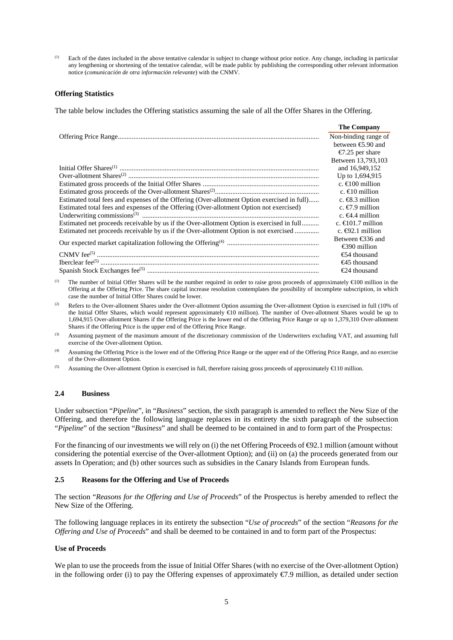(1) Each of the dates included in the above tentative calendar is subject to change without prior notice. Any change, including in particular any lengthening or shortening of the tentative calendar, will be made public by publishing the corresponding other relevant information notice (*comunicación de otra información relevante*) with the CNMV.

#### **Offering Statistics**

The table below includes the Offering statistics assuming the sale of all the Offer Shares in the Offering.

|                                                                                             | <b>The Company</b>          |
|---------------------------------------------------------------------------------------------|-----------------------------|
|                                                                                             | Non-binding range of        |
|                                                                                             | between $\epsilon$ 5.90 and |
|                                                                                             | $\epsilon$ .25 per share    |
|                                                                                             | Between 13,793,103          |
|                                                                                             | and 16,949,152              |
|                                                                                             | Up to 1,694,915             |
|                                                                                             | c. $\bigoplus$ 00 million   |
|                                                                                             | c. $\infty$ million         |
| Estimated total fees and expenses of the Offering (Over-allotment Option exercised in full) | c. $\bigoplus$ 3 million    |
| Estimated total fees and expenses of the Offering (Over-allotment Option not exercised)     | c. $\bigcirc$ 9 million     |
|                                                                                             | c. $64.4$ million           |
| Estimated net proceeds receivable by us if the Over-allotment Option is exercised in full   | c. $\bigoplus$ 01.7 million |
| Estimated net proceeds receivable by us if the Over-allotment Option is not exercised       | c. $\bigoplus$ 2.1 million  |
|                                                                                             | Between $\epsilon$ 36 and   |
|                                                                                             | $\epsilon$ 390 million      |
|                                                                                             | $\epsilon$ 54 thousand      |
|                                                                                             | $\bigoplus$ thousand        |
|                                                                                             | $\epsilon$ 24 thousand      |

(1) The number of Initial Offer Shares will be the number required in order to raise gross proceeds of approximately  $\triangleq 00$  million in the Offering at the Offering Price. The share capital increase resolution contemplates the possibility of incomplete subscription, in which case the number of Initial Offer Shares could be lower.

- (2) Refers to the Over-allotment Shares under the Over-allotment Option assuming the Over-allotment Option is exercised in full (10% of the Initial Offer Shares, which would represent approximately €10 million). The number of Over-allotment Shares would be up to 1,694,915 Over-allotment Shares if the Offering Price is the lower end of the Offering Price Range or up to 1,379,310 Over-allotment Shares if the Offering Price is the upper end of the Offering Price Range.
- (3) Assuming payment of the maximum amount of the discretionary commission of the Underwriters excluding VAT, and assuming full exercise of the Over-allotment Option.
- (4) Assuming the Offering Price is the lower end of the Offering Price Range or the upper end of the Offering Price Range, and no exercise of the Over-allotment Option.
- (5) Assuming the Over-allotment Option is exercised in full, therefore raising gross proceeds of approximately  $\triangleq$  10 million.

#### **2.4 Business**

Under subsection "*Pipeline*", in "*Business*" section, the sixth paragraph is amended to reflect the New Size of the Offering, and therefore the following language replaces in its entirety the sixth paragraph of the subsection "*Pipeline*" of the section "*Business*" and shall be deemed to be contained in and to form part of the Prospectus:

For the financing of our investments we will rely on (i) the net Offering Proceeds of  $\Theta$ 2.1 million (amount without considering the potential exercise of the Over-allotment Option); and (ii) on (a) the proceeds generated from our assets In Operation; and (b) other sources such as subsidies in the Canary Islands from European funds.

#### **2.5 Reasons for the Offering and Use of Proceeds**

The section "*Reasons for the Offering and Use of Proceeds*" of the Prospectus is hereby amended to reflect the New Size of the Offering.

The following language replaces in its entirety the subsection "*Use of proceeds*" of the section "*Reasons for the Offering and Use of Proceeds*" and shall be deemed to be contained in and to form part of the Prospectus:

#### **Use of Proceeds**

We plan to use the proceeds from the issue of Initial Offer Shares (with no exercise of the Over-allotment Option) in the following order (i) to pay the Offering expenses of approximately  $\epsilon$ 7.9 million, as detailed under section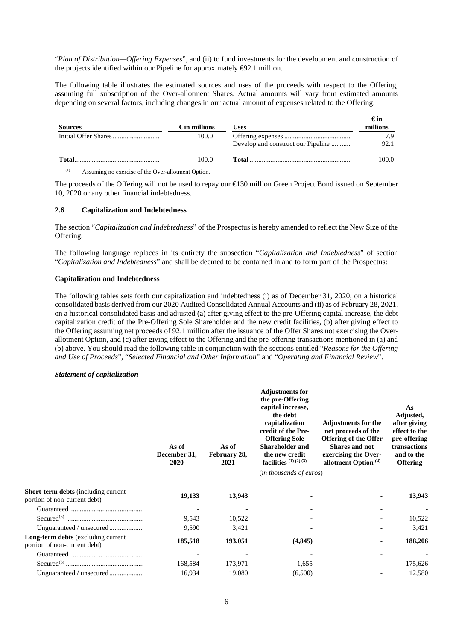"*Plan of Distribution—Offering Expenses*", and (ii) to fund investments for the development and construction of the projects identified within our Pipeline for approximately  $\Theta$ 2.1 million.

The following table illustrates the estimated sources and uses of the proceeds with respect to the Offering, assuming full subscription of the Over-allotment Shares. Actual amounts will vary from estimated amounts depending on several factors, including changes in our actual amount of expenses related to the Offering.

| <b>Sources</b>                                            | $\epsilon$ in millions | Uses                               | €in<br>millions |
|-----------------------------------------------------------|------------------------|------------------------------------|-----------------|
|                                                           | 100.0                  |                                    | 7.9             |
|                                                           |                        | Develop and construct our Pipeline | 92.1            |
| <b>Total</b>                                              | 100.0                  |                                    | 100.0           |
| (1)<br>Assuming no exercise of the Over-allotment Option. |                        |                                    |                 |

The proceeds of the Offering will not be used to repay our €130 million Green Project Bond issued on September 10, 2020 or any other financial indebtedness.

## **2.6 Capitalization and Indebtedness**

The section "*Capitalization and Indebtedness*" of the Prospectus is hereby amended to reflect the New Size of the Offering.

The following language replaces in its entirety the subsection "*Capitalization and Indebtedness*" of section "*Capitalization and Indebtedness*" and shall be deemed to be contained in and to form part of the Prospectus:

#### **Capitalization and Indebtedness**

The following tables sets forth our capitalization and indebtedness (i) as of December 31, 2020, on a historical consolidated basis derived from our 2020 Audited Consolidated Annual Accounts and (ii) as of February 28, 2021, on a historical consolidated basis and adjusted (a) after giving effect to the pre-Offering capital increase, the debt capitalization credit of the Pre-Offering Sole Shareholder and the new credit facilities, (b) after giving effect to the Offering assuming net proceeds of 92.1 million after the issuance of the Offer Shares not exercising the Overallotment Option, and (c) after giving effect to the Offering and the pre-offering transactions mentioned in (a) and (b) above. You should read the following table in conjunction with the sections entitled "*Reasons for the Offering and Use of Proceeds*", "*Selected Financial and Other Information*" and "*Operating and Financial Review*".

#### *Statement of capitalization*

|                                                                            | As of<br>December 31,<br>2020 | As of<br>February 28,<br>2021 | <b>Adjustments for</b><br>the pre-Offering<br>capital increase,<br>the debt<br>capitalization<br>credit of the Pre-<br><b>Offering Sole</b><br><b>Shareholder and</b><br>the new credit<br>facilities $(1)(2)(3)$<br>( <i>in thousands of euros</i> ) | <b>Adjustments for the</b><br>net proceeds of the<br><b>Offering of the Offer</b><br><b>Shares and not</b><br>exercising the Over-<br>allotment Option <sup>(4)</sup> | As<br>Adjusted,<br>after giving<br>effect to the<br>pre-offering<br>transactions<br>and to the<br><b>Offering</b> |
|----------------------------------------------------------------------------|-------------------------------|-------------------------------|-------------------------------------------------------------------------------------------------------------------------------------------------------------------------------------------------------------------------------------------------------|-----------------------------------------------------------------------------------------------------------------------------------------------------------------------|-------------------------------------------------------------------------------------------------------------------|
| <b>Short-term debts</b> (including current<br>portion of non-current debt) | 19,133                        | 13,943                        |                                                                                                                                                                                                                                                       |                                                                                                                                                                       | 13,943                                                                                                            |
|                                                                            |                               |                               |                                                                                                                                                                                                                                                       |                                                                                                                                                                       |                                                                                                                   |
|                                                                            | 9,543                         | 10,522                        |                                                                                                                                                                                                                                                       |                                                                                                                                                                       | 10,522                                                                                                            |
|                                                                            | 9,590                         | 3,421                         |                                                                                                                                                                                                                                                       |                                                                                                                                                                       | 3,421                                                                                                             |
| <b>Long-term debts</b> (excluding current<br>portion of non-current debt)  | 185,518                       | 193,051                       | (4, 845)                                                                                                                                                                                                                                              |                                                                                                                                                                       | 188,206                                                                                                           |
|                                                                            |                               |                               |                                                                                                                                                                                                                                                       |                                                                                                                                                                       |                                                                                                                   |
|                                                                            | 168,584                       | 173,971                       | 1,655                                                                                                                                                                                                                                                 |                                                                                                                                                                       | 175,626                                                                                                           |
|                                                                            | 16,934                        | 19,080                        | (6,500)                                                                                                                                                                                                                                               |                                                                                                                                                                       | 12,580                                                                                                            |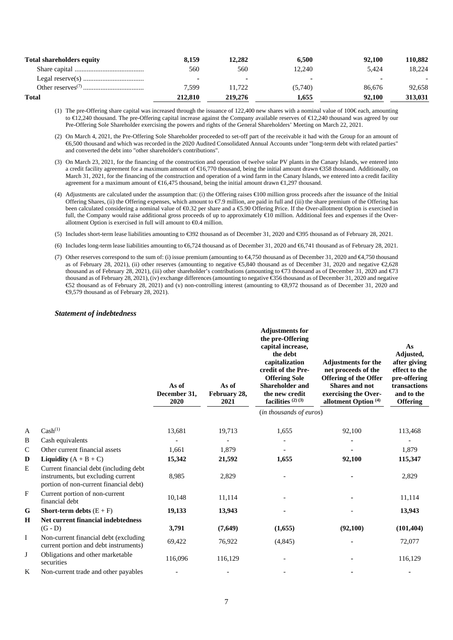| <b>Total shareholders equity</b>             | 8.159   | 12.282  | 6.500   | 92,100 | 110.882 |
|----------------------------------------------|---------|---------|---------|--------|---------|
|                                              | 560     | 560     | 12.240  | 5.424  | 18.224  |
|                                              |         |         |         |        |         |
| Other reserves <sup><math>(7)</math></sup> . | 7.599   | 11.722  | (5,740) | 86,676 | 92.658  |
| <b>Total</b>                                 | 212.810 | 219,276 | 1.655   | 92.100 | 313.031 |

(1) The pre-Offering share capital was increased through the issuance of 122,400 new shares with a nominal value of 100€ each, amounting to €12,240 thousand. The pre-Offering capital increase against the Company available reserves of €12,240 thousand was agreed by our Pre-Offering Sole Shareholder exercising the powers and rights of the General Shareholders' Meeting on March 22, 2021.

- (2) On March 4, 2021, the Pre-Offering Sole Shareholder proceeded to set-off part of the receivable it had with the Group for an amount of €6,500 thousand and which was recorded in the 2020 Audited Consolidated Annual Accounts under "long-term debt with related parties" and converted the debt into "other shareholder's contributions".
- (3) On March 23, 2021, for the financing of the construction and operation of twelve solar PV plants in the Canary Islands, we entered into a credit facility agreement for a maximum amount of €16,770 thousand, being the initial amount drawn €358 thousand. Additionally, on March 31, 2021, for the financing of the construction and operation of a wind farm in the Canary Islands, we entered into a credit facility agreement for a maximum amount of €16,475 thousand, being the initial amount drawn €1,297 thousand.
- (4) Adjustments are calculated under the assumption that: (i) the Offering raises  $\infty$  00 million gross proceeds after the issuance of the Initial Offering Shares, (ii) the Offering expenses, which amount to €7.9 million, are paid in full and (iii) the share premium of the Offering has been calculated considering a nominal value of €0.32 per share and a €5.90 Offering Price. If the Over-allotment Option is exercised in full, the Company would raise additional gross proceeds of up to approximately €10 million. Additional fees and expenses if the Overallotment Option is exercised in full will amount to  $\Theta$ .4 million.
- (5) Includes short-term lease liabilities amounting to €392 thousand as of December 31, 2020 and €395 thousand as of February 28, 2021.
- (6) Includes long-term lease liabilities amounting to €6,724 thousand as of December 31, 2020 and €6,741 thousand as of February 28, 2021.
- (7) Other reserves correspond to the sum of: (i) issue premium (amounting to €4,750 thousand as of December 31, 2020 and €4,750 thousand as of February 28, 2021), (ii) other reserves (amounting to negative €5,840 thousand as of December 31, 2020 and negative €2,628 thousand as of February 28, 2021), (iii) other shareholder's contributions (amounting to €73 thousand as of December 31, 2020 and €73 thousand as of February 28, 2021), (iv) exchange differences (amounting to negative €356 thousand as of December 31, 2020 and negative €52 thousand as of February 28, 2021) and (v) non-controlling interest (amounting to €8,972 thousand as of December 31, 2020 and €9,579 thousand as of February 28, 2021).

#### *Statement of indebtedness*

|              |                                                                                                                        | As of<br>December 31,<br>2020 | As of<br>February 28,<br>2021 | <b>Adjustments for</b><br>the pre-Offering<br>capital increase,<br>the debt<br>capitalization<br>credit of the Pre-<br><b>Offering Sole</b><br><b>Shareholder and</b><br>the new credit<br>facilities $(2)(3)$ | <b>Adjustments for the</b><br>net proceeds of the<br><b>Offering of the Offer</b><br><b>Shares and not</b><br>exercising the Over-<br>allotment Option <sup>(4)</sup> | As<br>Adjusted,<br>after giving<br>effect to the<br>pre-offering<br>transactions<br>and to the<br><b>Offering</b> |  |
|--------------|------------------------------------------------------------------------------------------------------------------------|-------------------------------|-------------------------------|----------------------------------------------------------------------------------------------------------------------------------------------------------------------------------------------------------------|-----------------------------------------------------------------------------------------------------------------------------------------------------------------------|-------------------------------------------------------------------------------------------------------------------|--|
|              |                                                                                                                        |                               |                               | (in thousands of euros)                                                                                                                                                                                        |                                                                                                                                                                       |                                                                                                                   |  |
| A            | Cash <sup>(1)</sup>                                                                                                    | 13,681                        | 19,713                        | 1,655                                                                                                                                                                                                          | 92,100                                                                                                                                                                | 113,468                                                                                                           |  |
| B            | Cash equivalents                                                                                                       |                               |                               |                                                                                                                                                                                                                |                                                                                                                                                                       |                                                                                                                   |  |
| $\mathsf{C}$ | Other current financial assets                                                                                         | 1,661                         | 1,879                         |                                                                                                                                                                                                                |                                                                                                                                                                       | 1,879                                                                                                             |  |
| D            | Liquidity $(A + B + C)$                                                                                                | 15,342                        | 21,592                        | 1,655                                                                                                                                                                                                          | 92,100                                                                                                                                                                | 115,347                                                                                                           |  |
| E            | Current financial debt (including debt<br>instruments, but excluding current<br>portion of non-current financial debt) | 8,985                         | 2,829                         |                                                                                                                                                                                                                |                                                                                                                                                                       | 2,829                                                                                                             |  |
| F            | Current portion of non-current<br>financial debt                                                                       | 10,148                        | 11,114                        |                                                                                                                                                                                                                |                                                                                                                                                                       | 11,114                                                                                                            |  |
| G            | <b>Short-term debts</b> $(E + F)$                                                                                      | 19,133                        | 13,943                        |                                                                                                                                                                                                                |                                                                                                                                                                       | 13,943                                                                                                            |  |
| Н            | Net current financial indebtedness<br>$(G - D)$                                                                        | 3,791                         | (7,649)                       | (1,655)                                                                                                                                                                                                        | (92,100)                                                                                                                                                              | (101, 404)                                                                                                        |  |
| I            | Non-current financial debt (excluding)<br>current portion and debt instruments)                                        | 69,422                        | 76,922                        | (4, 845)                                                                                                                                                                                                       |                                                                                                                                                                       | 72,077                                                                                                            |  |
| J            | Obligations and other marketable<br>securities                                                                         | 116,096                       | 116,129                       |                                                                                                                                                                                                                |                                                                                                                                                                       | 116,129                                                                                                           |  |
| K            | Non-current trade and other payables                                                                                   |                               |                               |                                                                                                                                                                                                                |                                                                                                                                                                       |                                                                                                                   |  |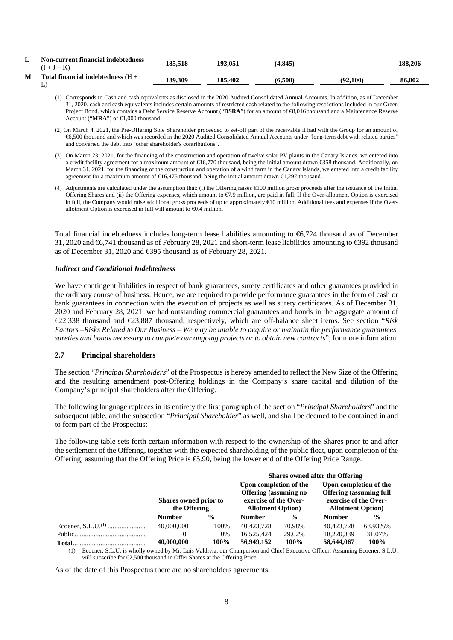| ., | <b>Non-current financial indebtedness</b><br>$(I+J+K)$ | 185.518 | 193.051 | (4.845) | $\overline{\phantom{0}}$ | 188.206 |
|----|--------------------------------------------------------|---------|---------|---------|--------------------------|---------|
| M  | Total financial indebtedness $(H +$                    | 189.309 | 185.402 | (6.500) | (92,100)                 | 86,802  |

- (1) Corresponds to Cash and cash equivalents as disclosed in the 2020 Audited Consolidated Annual Accounts. In addition, as of December 31, 2020, cash and cash equivalents includes certain amounts of restricted cash related to the following restrictions included in our Green Project Bond, which contains a Debt Service Reserve Account ("DSRA") for an amount of €8,016 thousand and a Maintenance Reserve Account ("**MRA**") of €1,000 thousand.
- (2) On March 4, 2021, the Pre-Offering Sole Shareholder proceeded to set-off part of the receivable it had with the Group for an amount of €6,500 thousand and which was recorded in the 2020 Audited Consolidated Annual Accounts under "long-term debt with related parties" and converted the debt into "other shareholder's contributions".
- (3) On March 23, 2021, for the financing of the construction and operation of twelve solar PV plants in the Canary Islands, we entered into a credit facility agreement for a maximum amount of €16,770 thousand, being the initial amount drawn €358 thousand. Additionally, on March 31, 2021, for the financing of the construction and operation of a wind farm in the Canary Islands, we entered into a credit facility agreement for a maximum amount of €16,475 thousand, being the initial amount drawn €1,297 thousand.
- (4) Adjustments are calculated under the assumption that: (i) the Offering raises €100 million gross proceeds after the issuance of the Initial Offering Shares and (ii) the Offering expenses, which amount to €7.9 million, are paid in full. If the Over-allotment Option is exercised in full, the Company would raise additional gross proceeds of up to approximately €10 million. Additional fees and expenses if the Overallotment Option is exercised in full will amount to  $\Theta$ .4 million.

Total financial indebtedness includes long-term lease liabilities amounting to €6,724 thousand as of December 31, 2020 and €6,741 thousand as of February 28, 2021 and short-term lease liabilities amounting to €392 thousand as of December 31, 2020 and €395 thousand as of February 28, 2021.

#### *Indirect and Conditional Indebtedness*

We have contingent liabilities in respect of bank guarantees, surety certificates and other guarantees provided in the ordinary course of business. Hence, we are required to provide performance guarantees in the form of cash or bank guarantees in connection with the execution of projects as well as surety certificates. As of December 31, 2020 and February 28, 2021, we had outstanding commercial guarantees and bonds in the aggregate amount of €22,338 thousand and €23,887 thousand, respectively, which are off-balance sheet items. See section "*Risk Factors –Risks Related to Our Business – We may be unable to acquire or maintain the performance guarantees, sureties and bonds necessary to complete our ongoing projects or to obtain new contracts*", for more information.

#### **2.7 Principal shareholders**

The section "*Principal Shareholders*" of the Prospectus is hereby amended to reflect the New Size of the Offering and the resulting amendment post-Offering holdings in the Company's share capital and dilution of the Company's principal shareholders after the Offering.

The following language replaces in its entirety the first paragraph of the section "*Principal Shareholders*" and the subsequent table, and the subsection "*Principal Shareholder*" as well, and shall be deemed to be contained in and to form part of the Prospectus:

The following table sets forth certain information with respect to the ownership of the Shares prior to and after the settlement of the Offering, together with the expected shareholding of the public float, upon completion of the Offering, assuming that the Offering Price is  $\epsilon$ 5.90, being the lower end of the Offering Price Range.

|        |                                       |               | <b>Shares owned after the Offering</b>                                                                       |               |                                                                                                                |               |
|--------|---------------------------------------|---------------|--------------------------------------------------------------------------------------------------------------|---------------|----------------------------------------------------------------------------------------------------------------|---------------|
|        | Shares owned prior to<br>the Offering |               | Upon completion of the<br><b>Offering</b> (assuming no<br>exercise of the Over-<br><b>Allotment Option</b> ) |               | Upon completion of the<br><b>Offering (assuming full</b><br>exercise of the Over-<br><b>Allotment Option</b> ) |               |
|        | <b>Number</b>                         | $\frac{0}{0}$ | <b>Number</b>                                                                                                | $\frac{0}{0}$ | <b>Number</b>                                                                                                  | $\frac{0}{0}$ |
|        | 40,000,000                            | 100%          | 40,423,728                                                                                                   | 70.98%        | 40,423,728                                                                                                     | 68.93%%       |
|        |                                       | $0\%$         | 16,525,424                                                                                                   | 29.02%        | 18,220,339                                                                                                     | 31.07%        |
| Total. | 40,000,000                            | 100%          | 56,949,152                                                                                                   | 100%          | 58,644,067                                                                                                     | 100%          |

(1) Ecoener, S.L.U. is wholly owned by Mr. Luis Valdivia, our Chairperson and Chief Executive Officer. Assuming Ecoener, S.L.U. will subscribe for €2,500 thousand in Offer Shares at the Offering Price.

As of the date of this Prospectus there are no shareholders agreements.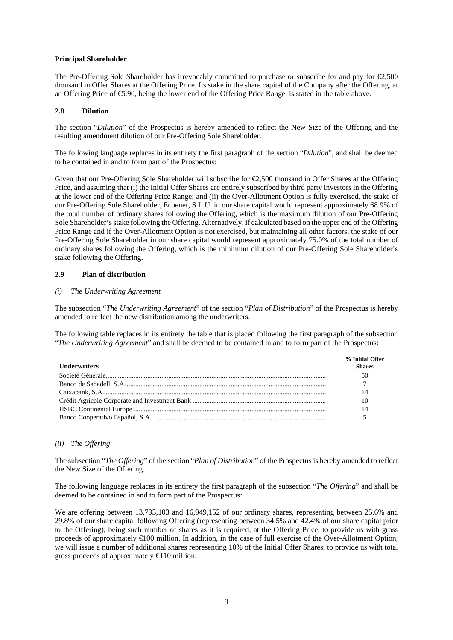## **Principal Shareholder**

The Pre-Offering Sole Shareholder has irrevocably committed to purchase or subscribe for and pay for €2,500 thousand in Offer Shares at the Offering Price. Its stake in the share capital of the Company after the Offering, at an Offering Price of €5.90, being the lower end of the Offering Price Range, is stated in the table above.

## **2.8 Dilution**

The section "*Dilution*" of the Prospectus is hereby amended to reflect the New Size of the Offering and the resulting amendment dilution of our Pre-Offering Sole Shareholder.

The following language replaces in its entirety the first paragraph of the section "*Dilution*", and shall be deemed to be contained in and to form part of the Prospectus:

Given that our Pre-Offering Sole Shareholder will subscribe for €2,500 thousand in Offer Shares at the Offering Price, and assuming that (i) the Initial Offer Shares are entirely subscribed by third party investors in the Offering at the lower end of the Offering Price Range; and (ii) the Over-Allotment Option is fully exercised, the stake of our Pre-Offering Sole Shareholder, Ecoener, S.L.U. in our share capital would represent approximately 68.9% of the total number of ordinary shares following the Offering, which is the maximum dilution of our Pre-Offering Sole Shareholder's stake following the Offering. Alternatively, if calculated based on the upper end of the Offering Price Range and if the Over-Allotment Option is not exercised, but maintaining all other factors, the stake of our Pre-Offering Sole Shareholder in our share capital would represent approximately 75.0% of the total number of ordinary shares following the Offering, which is the minimum dilution of our Pre-Offering Sole Shareholder's stake following the Offering.

# **2.9 Plan of distribution**

## *(i) The Underwriting Agreement*

The subsection "*The Underwriting Agreement*" of the section "*Plan of Distribution*" of the Prospectus is hereby amended to reflect the new distribution among the underwriters.

The following table replaces in its entirety the table that is placed following the first paragraph of the subsection "*The Underwriting Agreement*" and shall be deemed to be contained in and to form part of the Prospectus:

| <b>Underwriters</b> | % Initial Offer<br><b>Shares</b> |
|---------------------|----------------------------------|
|                     | 50                               |
|                     |                                  |
|                     | 14                               |
|                     | 10                               |
|                     | 14                               |
|                     |                                  |

## *(ii) The Offering*

The subsection "*The Offering*" of the section "*Plan of Distribution*" of the Prospectus is hereby amended to reflect the New Size of the Offering.

The following language replaces in its entirety the first paragraph of the subsection "*The Offering*" and shall be deemed to be contained in and to form part of the Prospectus:

We are offering between 13,793,103 and 16,949,152 of our ordinary shares, representing between 25.6% and 29.8% of our share capital following Offering (representing between 34.5% and 42.4% of our share capital prior to the Offering), being such number of shares as it is required, at the Offering Price, to provide us with gross proceeds of approximately €100 million. In addition, in the case of full exercise of the Over-Allotment Option, we will issue a number of additional shares representing 10% of the Initial Offer Shares, to provide us with total gross proceeds of approximately  $\bigoplus$  10 million.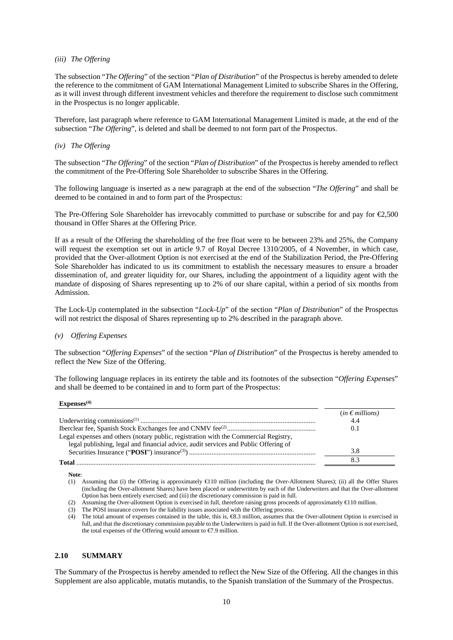#### *(iii) The Offering*

The subsection "*The Offering*" of the section "*Plan of Distribution*" of the Prospectus is hereby amended to delete the reference to the commitment of GAM International Management Limited to subscribe Shares in the Offering, as it will invest through different investment vehicles and therefore the requirement to disclose such commitment in the Prospectus is no longer applicable.

Therefore, last paragraph where reference to GAM International Management Limited is made, at the end of the subsection "*The Offering*", is deleted and shall be deemed to not form part of the Prospectus.

## *(iv) The Offering*

The subsection "*The Offering*" of the section "*Plan of Distribution*" of the Prospectus is hereby amended to reflect the commitment of the Pre-Offering Sole Shareholder to subscribe Shares in the Offering.

The following language is inserted as a new paragraph at the end of the subsection "*The Offering*" and shall be deemed to be contained in and to form part of the Prospectus:

The Pre-Offering Sole Shareholder has irrevocably committed to purchase or subscribe for and pay for €2,500 thousand in Offer Shares at the Offering Price.

If as a result of the Offering the shareholding of the free float were to be between 23% and 25%, the Company will request the exemption set out in article 9.7 of Royal Decree 1310/2005, of 4 November, in which case, provided that the Over-allotment Option is not exercised at the end of the Stabilization Period, the Pre-Offering Sole Shareholder has indicated to us its commitment to establish the necessary measures to ensure a broader dissemination of, and greater liquidity for, our Shares, including the appointment of a liquidity agent with the mandate of disposing of Shares representing up to 2% of our share capital, within a period of six months from Admission.

The Lock-Up contemplated in the subsection "*Lock-Up*" of the section "*Plan of Distribution*" of the Prospectus will not restrict the disposal of Shares representing up to 2% described in the paragraph above.

#### *(v) Offering Expenses*

The subsection "*Offering Expenses*" of the section "*Plan of Distribution*" of the Prospectus is hereby amended to reflect the New Size of the Offering.

The following language replaces in its entirety the table and its footnotes of the subsection "*Offering Expenses*" and shall be deemed to be contained in and to form part of the Prospectus:

#### **Expenses(4)**

|                                                                                      | $(in \in millions)$ |
|--------------------------------------------------------------------------------------|---------------------|
|                                                                                      | 4.4                 |
|                                                                                      | 0.1                 |
| Legal expenses and others (notary public, registration with the Commercial Registry, |                     |
| legal publishing, legal and financial advice, audit services and Public Offering of  |                     |
|                                                                                      |                     |
| Total                                                                                |                     |

**Note**:

(1) Assuming that (i) the Offering is approximately €110 million (including the Over-Allotment Shares); (ii) all the Offer Shares (including the Over-allotment Shares) have been placed or underwritten by each of the Underwriters and that the Over-allotment Option has been entirely exercised; and (iii) the discretionary commission is paid in full.

#### **2.10 SUMMARY**

The Summary of the Prospectus is hereby amended to reflect the New Size of the Offering. All the changes in this Supplement are also applicable, mutatis mutandis, to the Spanish translation of the Summary of the Prospectus.

<sup>(2)</sup> Assuming the Over-allotment Option is exercised in full, therefore raising gross proceeds of approximately  $\bigoplus$  10 million.

<sup>(3)</sup> The POSI insurance covers for the liability issues associated with the Offering process.

<sup>(4)</sup> The total amount of expenses contained in the table, this is, €8.3 million, assumes that the Over-allotment Option is exercised in full, and that the discretionary commission payable to the Underwriters is paid in full. If the Over-allotment Option is not exercised, the total expenses of the Offering would amount to €7.9 million.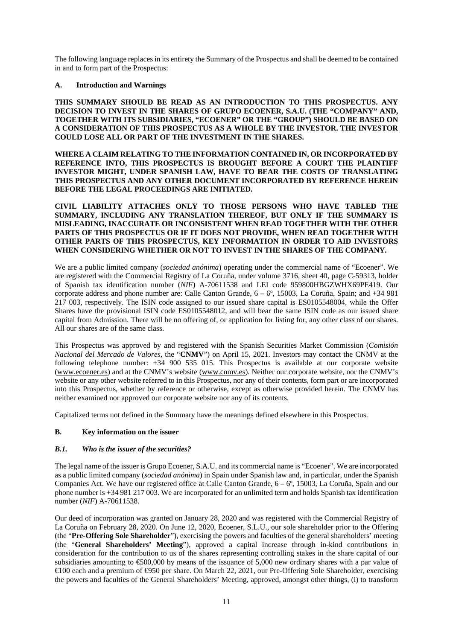The following language replaces in its entirety the Summary of the Prospectus and shall be deemed to be contained in and to form part of the Prospectus:

#### **A. Introduction and Warnings**

**THIS SUMMARY SHOULD BE READ AS AN INTRODUCTION TO THIS PROSPECTUS. ANY DECISION TO INVEST IN THE SHARES OF GRUPO ECOENER, S.A.U. (THE "COMPANY" AND, TOGETHER WITH ITS SUBSIDIARIES, "ECOENER" OR THE "GROUP") SHOULD BE BASED ON A CONSIDERATION OF THIS PROSPECTUS AS A WHOLE BY THE INVESTOR. THE INVESTOR COULD LOSE ALL OR PART OF THE INVESTMENT IN THE SHARES.** 

**WHERE A CLAIM RELATING TO THE INFORMATION CONTAINED IN, OR INCORPORATED BY REFERENCE INTO, THIS PROSPECTUS IS BROUGHT BEFORE A COURT THE PLAINTIFF INVESTOR MIGHT, UNDER SPANISH LAW, HAVE TO BEAR THE COSTS OF TRANSLATING THIS PROSPECTUS AND ANY OTHER DOCUMENT INCORPORATED BY REFERENCE HEREIN BEFORE THE LEGAL PROCEEDINGS ARE INITIATED.** 

#### **CIVIL LIABILITY ATTACHES ONLY TO THOSE PERSONS WHO HAVE TABLED THE SUMMARY, INCLUDING ANY TRANSLATION THEREOF, BUT ONLY IF THE SUMMARY IS MISLEADING, INACCURATE OR INCONSISTENT WHEN READ TOGETHER WITH THE OTHER PARTS OF THIS PROSPECTUS OR IF IT DOES NOT PROVIDE, WHEN READ TOGETHER WITH OTHER PARTS OF THIS PROSPECTUS, KEY INFORMATION IN ORDER TO AID INVESTORS WHEN CONSIDERING WHETHER OR NOT TO INVEST IN THE SHARES OF THE COMPANY.**

We are a public limited company (*sociedad anónima*) operating under the commercial name of "Ecoener". We are registered with the Commercial Registry of La Coruña, under volume 3716, sheet 40, page C-59313, holder of Spanish tax identification number (*NIF*) A-70611538 and LEI code 959800HBGZWHX69PE419. Our corporate address and phone number are: Calle Canton Grande,  $6 - 6^\circ$ , 15003, La Coruña, Spain; and  $+34981$ 217 003, respectively. The ISIN code assigned to our issued share capital is ES0105548004, while the Offer Shares have the provisional ISIN code ES0105548012, and will bear the same ISIN code as our issued share capital from Admission. There will be no offering of, or application for listing for, any other class of our shares. All our shares are of the same class.

This Prospectus was approved by and registered with the Spanish Securities Market Commission (*Comisión Nacional del Mercado de Valores*, the "**CNMV**") on April 15, 2021. Investors may contact the CNMV at the following telephone number: +34 900 535 015. This Prospectus is available at our corporate website (www.ecoener.es) and at the CNMV's website (www.cnmv.es). Neither our corporate website, nor the CNMV's website or any other website referred to in this Prospectus, nor any of their contents, form part or are incorporated into this Prospectus, whether by reference or otherwise, except as otherwise provided herein. The CNMV has neither examined nor approved our corporate website nor any of its contents.

Capitalized terms not defined in the Summary have the meanings defined elsewhere in this Prospectus.

## **B. Key information on the issuer**

#### *B.1. Who is the issuer of the securities?*

The legal name of the issuer is Grupo Ecoener, S.A.U. and its commercial name is "Ecoener". We are incorporated as a public limited company (*sociedad anónima*) in Spain under Spanish law and, in particular, under the Spanish Companies Act. We have our registered office at Calle Canton Grande, 6 – 6º, 15003, La Coruña, Spain and our phone number is +34 981 217 003. We are incorporated for an unlimited term and holds Spanish tax identification number (*NIF*) A-70611538.

Our deed of incorporation was granted on January 28, 2020 and was registered with the Commercial Registry of La Coruña on February 28, 2020. On June 12, 2020, Ecoener, S.L.U., our sole shareholder prior to the Offering (the "**Pre-Offering Sole Shareholder**"), exercising the powers and faculties of the general shareholders' meeting (the "**General Shareholders' Meeting**"), approved a capital increase through in-kind contributions in consideration for the contribution to us of the shares representing controlling stakes in the share capital of our subsidiaries amounting to  $600,000$  by means of the issuance of 5,000 new ordinary shares with a par value of €100 each and a premium of €950 per share. On March 22, 2021, our Pre-Offering Sole Shareholder, exercising the powers and faculties of the General Shareholders' Meeting, approved, amongst other things, (i) to transform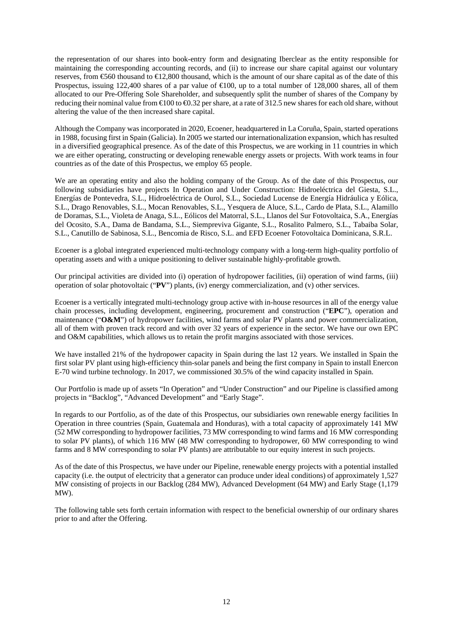the representation of our shares into book-entry form and designating Iberclear as the entity responsible for maintaining the corresponding accounting records, and (ii) to increase our share capital against our voluntary reserves, from €560 thousand to €12,800 thousand, which is the amount of our share capital as of the date of this Prospectus, issuing 122,400 shares of a par value of  $\bigoplus$  00, up to a total number of 128,000 shares, all of them allocated to our Pre-Offering Sole Shareholder, and subsequently split the number of shares of the Company by reducing their nominal value from  $\epsilon$ 100 to  $\epsilon$ 0.32 per share, at a rate of 312.5 new shares for each old share, without altering the value of the then increased share capital.

Although the Company was incorporated in 2020, Ecoener, headquartered in La Coruña, Spain, started operations in 1988, focusing first in Spain (Galicia). In 2005 we started our internationalization expansion, which has resulted in a diversified geographical presence. As of the date of this Prospectus, we are working in 11 countries in which we are either operating, constructing or developing renewable energy assets or projects. With work teams in four countries as of the date of this Prospectus, we employ 65 people.

We are an operating entity and also the holding company of the Group. As of the date of this Prospectus, our following subsidiaries have projects In Operation and Under Construction: Hidroeléctrica del Giesta, S.L., Energías de Pontevedra, S.L., Hidroeléctrica de Ourol, S.L., Sociedad Lucense de Energía Hidráulica y Eólica, S.L., Drago Renovables, S.L., Mocan Renovables, S.L., Yesquera de Aluce, S.L., Cardo de Plata, S.L., Alamillo de Doramas, S.L., Violeta de Anaga, S.L., Eólicos del Matorral, S.L., Llanos del Sur Fotovoltaica, S.A., Energías del Ocosito, S.A., Dama de Bandama, S.L., Siempreviva Gigante, S.L., Rosalito Palmero, S.L., Tabaiba Solar, S.L., Canutillo de Sabinosa, S.L., Bencomia de Risco, S.L. and EFD Ecoener Fotovoltaica Dominicana, S.R.L.

Ecoener is a global integrated experienced multi-technology company with a long-term high-quality portfolio of operating assets and with a unique positioning to deliver sustainable highly-profitable growth.

Our principal activities are divided into (i) operation of hydropower facilities, (ii) operation of wind farms, (iii) operation of solar photovoltaic ("**PV**") plants, (iv) energy commercialization, and (v) other services.

Ecoener is a vertically integrated multi-technology group active with in-house resources in all of the energy value chain processes, including development, engineering, procurement and construction ("**EPC**"), operation and maintenance ("**O&M**") of hydropower facilities, wind farms and solar PV plants and power commercialization, all of them with proven track record and with over 32 years of experience in the sector. We have our own EPC and O&M capabilities, which allows us to retain the profit margins associated with those services.

We have installed 21% of the hydropower capacity in Spain during the last 12 years. We installed in Spain the first solar PV plant using high-efficiency thin-solar panels and being the first company in Spain to install Enercon E-70 wind turbine technology. In 2017, we commissioned 30.5% of the wind capacity installed in Spain.

Our Portfolio is made up of assets "In Operation" and "Under Construction" and our Pipeline is classified among projects in "Backlog", "Advanced Development" and "Early Stage".

In regards to our Portfolio, as of the date of this Prospectus, our subsidiaries own renewable energy facilities In Operation in three countries (Spain, Guatemala and Honduras), with a total capacity of approximately 141 MW (52 MW corresponding to hydropower facilities, 73 MW corresponding to wind farms and 16 MW corresponding to solar PV plants), of which 116 MW (48 MW corresponding to hydropower, 60 MW corresponding to wind farms and 8 MW corresponding to solar PV plants) are attributable to our equity interest in such projects.

As of the date of this Prospectus, we have under our Pipeline, renewable energy projects with a potential installed capacity (i.e. the output of electricity that a generator can produce under ideal conditions) of approximately 1,527 MW consisting of projects in our Backlog (284 MW), Advanced Development (64 MW) and Early Stage (1,179 MW).

The following table sets forth certain information with respect to the beneficial ownership of our ordinary shares prior to and after the Offering.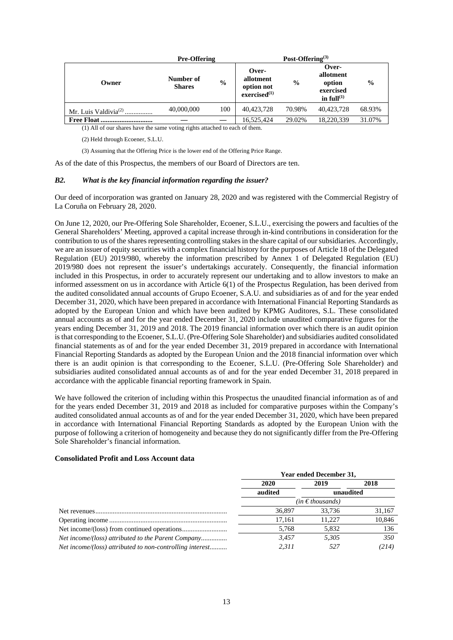|                                  | <b>Pre-Offering</b>        |               | Post-Offering <sup>(3)</sup>                               |               |                                                               |               |
|----------------------------------|----------------------------|---------------|------------------------------------------------------------|---------------|---------------------------------------------------------------|---------------|
| Owner                            | Number of<br><b>Shares</b> | $\frac{0}{0}$ | Over-<br>allotment<br>option not<br>excised <sup>(1)</sup> | $\frac{6}{9}$ | Over-<br>allotment<br>option<br>exercised<br>in full $^{(1)}$ | $\frac{0}{0}$ |
| Mr. Luis Valdivia <sup>(2)</sup> | 40,000,000                 | 100           | 40.423.728                                                 | 70.98%        | 40.423.728                                                    | 68.93%        |
| <b>Free Float</b>                |                            |               | 16.525.424                                                 | 29.02%        | 18.220.339                                                    | 31.07%        |

(1) All of our shares have the same voting rights attached to each of them.

(2) Held through Ecoener, S.L.U.

(3) Assuming that the Offering Price is the lower end of the Offering Price Range.

As of the date of this Prospectus, the members of our Board of Directors are ten.

#### *B2. What is the key financial information regarding the issuer?*

Our deed of incorporation was granted on January 28, 2020 and was registered with the Commercial Registry of La Coruña on February 28, 2020.

On June 12, 2020, our Pre-Offering Sole Shareholder, Ecoener, S.L.U., exercising the powers and faculties of the General Shareholders' Meeting, approved a capital increase through in-kind contributions in consideration for the contribution to us of the shares representing controlling stakes in the share capital of our subsidiaries. Accordingly, we are an issuer of equity securities with a complex financial history for the purposes of Article 18 of the Delegated Regulation (EU) 2019/980, whereby the information prescribed by Annex 1 of Delegated Regulation (EU) 2019/980 does not represent the issuer's undertakings accurately. Consequently, the financial information included in this Prospectus, in order to accurately represent our undertaking and to allow investors to make an informed assessment on us in accordance with Article 6(1) of the Prospectus Regulation, has been derived from the audited consolidated annual accounts of Grupo Ecoener, S.A.U. and subsidiaries as of and for the year ended December 31, 2020, which have been prepared in accordance with International Financial Reporting Standards as adopted by the European Union and which have been audited by KPMG Auditores, S.L. These consolidated annual accounts as of and for the year ended December 31, 2020 include unaudited comparative figures for the years ending December 31, 2019 and 2018. The 2019 financial information over which there is an audit opinion is that corresponding to the Ecoener, S.L.U. (Pre-Offering Sole Shareholder) and subsidiaries audited consolidated financial statements as of and for the year ended December 31, 2019 prepared in accordance with International Financial Reporting Standards as adopted by the European Union and the 2018 financial information over which there is an audit opinion is that corresponding to the Ecoener, S.L.U. (Pre-Offering Sole Shareholder) and subsidiaries audited consolidated annual accounts as of and for the year ended December 31, 2018 prepared in accordance with the applicable financial reporting framework in Spain.

We have followed the criterion of including within this Prospectus the unaudited financial information as of and for the years ended December 31, 2019 and 2018 as included for comparative purposes within the Company's audited consolidated annual accounts as of and for the year ended December 31, 2020, which have been prepared in accordance with International Financial Reporting Standards as adopted by the European Union with the purpose of following a criterion of homogeneity and because they do not significantly differ from the Pre-Offering Sole Shareholder's financial information.

#### **Consolidated Profit and Loss Account data**

|                                                          | <b>Year ended December 31,</b> |           |        |  |
|----------------------------------------------------------|--------------------------------|-----------|--------|--|
|                                                          | 2020                           | 2019      | 2018   |  |
|                                                          | audited                        | unaudited |        |  |
|                                                          | (in € thousands)               |           |        |  |
|                                                          | 36,897                         | 33.736    | 31,167 |  |
|                                                          | 17.161                         | 11.227    | 10,846 |  |
|                                                          | 5,768                          | 5,832     | 136    |  |
|                                                          | 3.457                          | 5.305     | 350    |  |
| Net income/(loss) attributed to non-controlling interest | 2.311                          | 527       | (214)  |  |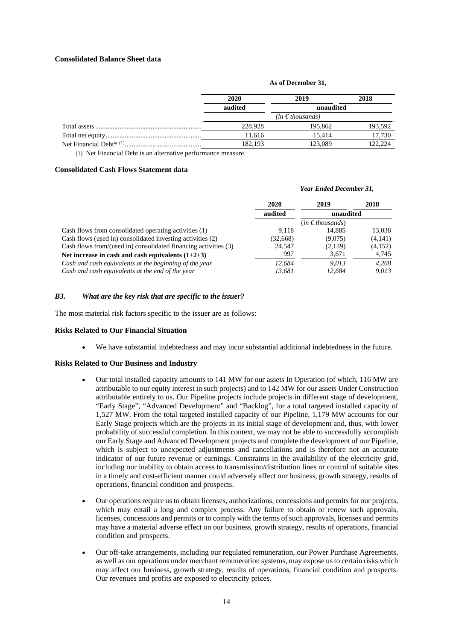## **Consolidated Balance Sheet data**

#### **As of December 31,**

| 2020                 | 2019      | 2018    |
|----------------------|-----------|---------|
| audited              | unaudited |         |
| $(in \in$ thousands) |           |         |
| 228,928              | 195,862   | 193,592 |
| 11.616               | 15.414    | 17.730  |
| 182,193              | 123,089   | 122,224 |

(1) Net Financial Debt is an alternative performance measure.

#### **Consolidated Cash Flows Statement data**

# *Year Ended December 31,*  **2020 2019 2018 audited unaudited**  (*in € thousands*) Cash flows from consolidated operating activities (1) 5.038 9.118 14,885 13,038 Cash flows (used in) consolidated investing activities (2) (32,668) (9,075) (4,141)<br>Cash flows from/(used in) consolidated financing activities (3) 24,547 (2,139) (4,152) Cash flows from/(used in) consolidated financing activities  $(3)$  24,547 (2,139) **Net increase in cash and cash equivalents (1+2+3)** 997 3,671 4,745 *Cash and cash equivalents at the beginning of the year Cash and cash equivalents at the end of the year 13,681 12,684 9,013*

#### *B3. What are the key risk that are specific to the issuer?*

The most material risk factors specific to the issuer are as follows:

#### **Risks Related to Our Financial Situation**

We have substantial indebtedness and may incur substantial additional indebtedness in the future.

#### **Risks Related to Our Business and Industry**

- Our total installed capacity amounts to 141 MW for our assets In Operation (of which, 116 MW are attributable to our equity interest in such projects) and to 142 MW for our assets Under Construction attributable entirely to us. Our Pipeline projects include projects in different stage of development, "Early Stage", "Advanced Development" and "Backlog", for a total targeted installed capacity of 1,527 MW. From the total targeted installed capacity of our Pipeline, 1,179 MW accounts for our Early Stage projects which are the projects in its initial stage of development and, thus, with lower probability of successful completion. In this context, we may not be able to successfully accomplish our Early Stage and Advanced Development projects and complete the development of our Pipeline, which is subject to unexpected adjustments and cancellations and is therefore not an accurate indicator of our future revenue or earnings. Constraints in the availability of the electricity grid, including our inability to obtain access to transmission/distribution lines or control of suitable sites in a timely and cost-efficient manner could adversely affect our business, growth strategy, results of operations, financial condition and prospects.
- Our operations require us to obtain licenses, authorizations, concessions and permits for our projects, which may entail a long and complex process. Any failure to obtain or renew such approvals, licenses, concessions and permits or to comply with the terms of such approvals, licenses and permits may have a material adverse effect on our business, growth strategy, results of operations, financial condition and prospects.
- Our off-take arrangements, including our regulated remuneration, our Power Purchase Agreements, as well as our operations under merchant remuneration systems, may expose us to certain risks which may affect our business, growth strategy, results of operations, financial condition and prospects. Our revenues and profits are exposed to electricity prices.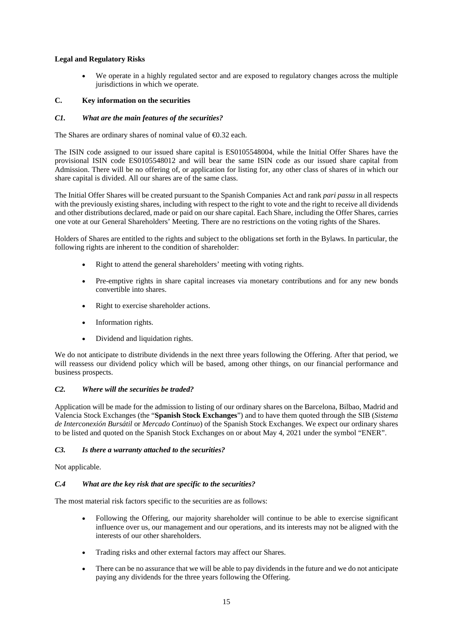# **Legal and Regulatory Risks**

 We operate in a highly regulated sector and are exposed to regulatory changes across the multiple jurisdictions in which we operate.

# **C. Key information on the securities**

## *C1. What are the main features of the securities?*

The Shares are ordinary shares of nominal value of  $\epsilon$ 0.32 each.

The ISIN code assigned to our issued share capital is ES0105548004, while the Initial Offer Shares have the provisional ISIN code ES0105548012 and will bear the same ISIN code as our issued share capital from Admission. There will be no offering of, or application for listing for, any other class of shares of in which our share capital is divided. All our shares are of the same class.

The Initial Offer Shares will be created pursuant to the Spanish Companies Act and rank *pari passu* in all respects with the previously existing shares, including with respect to the right to vote and the right to receive all dividends and other distributions declared, made or paid on our share capital. Each Share, including the Offer Shares, carries one vote at our General Shareholders' Meeting. There are no restrictions on the voting rights of the Shares.

Holders of Shares are entitled to the rights and subject to the obligations set forth in the Bylaws. In particular, the following rights are inherent to the condition of shareholder:

- Right to attend the general shareholders' meeting with voting rights.
- Pre-emptive rights in share capital increases via monetary contributions and for any new bonds convertible into shares.
- Right to exercise shareholder actions.
- Information rights.
- Dividend and liquidation rights.

We do not anticipate to distribute dividends in the next three years following the Offering. After that period, we will reassess our dividend policy which will be based, among other things, on our financial performance and business prospects.

## *C2. Where will the securities be traded?*

Application will be made for the admission to listing of our ordinary shares on the Barcelona, Bilbao, Madrid and Valencia Stock Exchanges (the "**Spanish Stock Exchanges**") and to have them quoted through the SIB (*Sistema de Interconexión Bursátil* or *Mercado Continuo*) of the Spanish Stock Exchanges. We expect our ordinary shares to be listed and quoted on the Spanish Stock Exchanges on or about May 4, 2021 under the symbol "ENER".

## *C3. Is there a warranty attached to the securities?*

Not applicable.

## *C.4 What are the key risk that are specific to the securities?*

The most material risk factors specific to the securities are as follows:

- Following the Offering, our majority shareholder will continue to be able to exercise significant influence over us, our management and our operations, and its interests may not be aligned with the interests of our other shareholders.
- Trading risks and other external factors may affect our Shares.
- There can be no assurance that we will be able to pay dividends in the future and we do not anticipate paying any dividends for the three years following the Offering.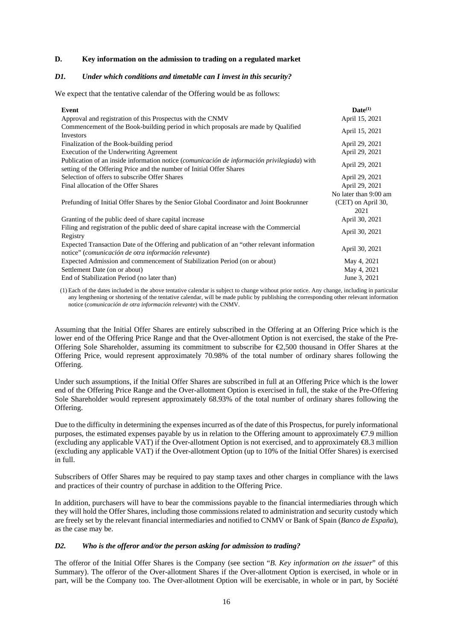## **D. Key information on the admission to trading on a regulated market**

#### *D1. Under which conditions and timetable can I invest in this security?*

We expect that the tentative calendar of the Offering would be as follows:

| Event                                                                                                                                                               | $\mathbf{Date}^{(1)}$      |
|---------------------------------------------------------------------------------------------------------------------------------------------------------------------|----------------------------|
| Approval and registration of this Prospectus with the CNMV                                                                                                          | April 15, 2021             |
| Commencement of the Book-building period in which proposals are made by Qualified<br>Investors                                                                      | April 15, 2021             |
| Finalization of the Book-building period                                                                                                                            | April 29, 2021             |
| Execution of the Underwriting Agreement                                                                                                                             | April 29, 2021             |
| Publication of an inside information notice (comunicación de información privilegiada) with<br>setting of the Offering Price and the number of Initial Offer Shares | April 29, 2021             |
| Selection of offers to subscribe Offer Shares                                                                                                                       | April 29, 2021             |
| Final allocation of the Offer Shares                                                                                                                                | April 29, 2021             |
|                                                                                                                                                                     | No later than 9:00 am      |
| Prefunding of Initial Offer Shares by the Senior Global Coordinator and Joint Bookrunner                                                                            | (CET) on April 30,<br>2021 |
| Granting of the public deed of share capital increase                                                                                                               | April 30, 2021             |
| Filing and registration of the public deed of share capital increase with the Commercial<br>Registry                                                                | April 30, 2021             |
| Expected Transaction Date of the Offering and publication of an "other relevant information"<br>notice" (comunicación de otra información relevante)                | April 30, 2021             |
| Expected Admission and commencement of Stabilization Period (on or about)                                                                                           | May 4, 2021                |
| Settlement Date (on or about)                                                                                                                                       | May 4, 2021                |
| End of Stabilization Period (no later than)                                                                                                                         | June 3, 2021               |

(1) Each of the dates included in the above tentative calendar is subject to change without prior notice. Any change, including in particular any lengthening or shortening of the tentative calendar, will be made public by publishing the corresponding other relevant information notice (*comunicación de otra información relevante*) with the CNMV.

Assuming that the Initial Offer Shares are entirely subscribed in the Offering at an Offering Price which is the lower end of the Offering Price Range and that the Over-allotment Option is not exercised, the stake of the Pre-Offering Sole Shareholder, assuming its commitment to subscribe for  $\epsilon$ 2,500 thousand in Offer Shares at the Offering Price, would represent approximately 70.98% of the total number of ordinary shares following the Offering.

Under such assumptions, if the Initial Offer Shares are subscribed in full at an Offering Price which is the lower end of the Offering Price Range and the Over-allotment Option is exercised in full, the stake of the Pre-Offering Sole Shareholder would represent approximately 68.93% of the total number of ordinary shares following the Offering.

Due to the difficulty in determining the expenses incurred as of the date of this Prospectus, for purely informational purposes, the estimated expenses payable by us in relation to the Offering amount to approximately €7.9 million (excluding any applicable VAT) if the Over-allotment Option is not exercised, and to approximately €8.3 million (excluding any applicable VAT) if the Over-allotment Option (up to 10% of the Initial Offer Shares) is exercised in full.

Subscribers of Offer Shares may be required to pay stamp taxes and other charges in compliance with the laws and practices of their country of purchase in addition to the Offering Price.

In addition, purchasers will have to bear the commissions payable to the financial intermediaries through which they will hold the Offer Shares, including those commissions related to administration and security custody which are freely set by the relevant financial intermediaries and notified to CNMV or Bank of Spain (*Banco de España*), as the case may be.

## *D2. Who is the offeror and/or the person asking for admission to trading?*

The offeror of the Initial Offer Shares is the Company (see section "*B. Key information on the issuer*" of this Summary). The offeror of the Over-allotment Shares if the Over-allotment Option is exercised, in whole or in part, will be the Company too. The Over-allotment Option will be exercisable, in whole or in part, by Société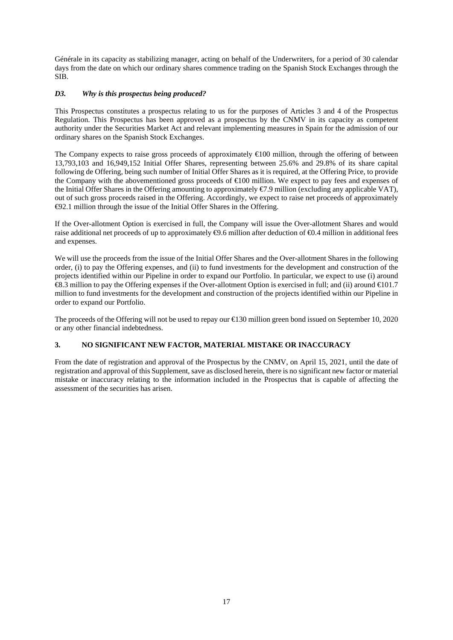Générale in its capacity as stabilizing manager, acting on behalf of the Underwriters, for a period of 30 calendar days from the date on which our ordinary shares commence trading on the Spanish Stock Exchanges through the SIB.

# *D3. Why is this prospectus being produced?*

This Prospectus constitutes a prospectus relating to us for the purposes of Articles 3 and 4 of the Prospectus Regulation. This Prospectus has been approved as a prospectus by the CNMV in its capacity as competent authority under the Securities Market Act and relevant implementing measures in Spain for the admission of our ordinary shares on the Spanish Stock Exchanges.

The Company expects to raise gross proceeds of approximately  $\bigoplus$  00 million, through the offering of between 13,793,103 and 16,949,152 Initial Offer Shares, representing between 25.6% and 29.8% of its share capital following de Offering, being such number of Initial Offer Shares as it is required, at the Offering Price, to provide the Company with the abovementioned gross proceeds of €100 million. We expect to pay fees and expenses of the Initial Offer Shares in the Offering amounting to approximately €7.9 million (excluding any applicable VAT), out of such gross proceeds raised in the Offering. Accordingly, we expect to raise net proceeds of approximately €92.1 million through the issue of the Initial Offer Shares in the Offering.

If the Over-allotment Option is exercised in full, the Company will issue the Over-allotment Shares and would raise additional net proceeds of up to approximately  $\Theta$ .6 million after deduction of  $\Theta$ .4 million in additional fees and expenses.

We will use the proceeds from the issue of the Initial Offer Shares and the Over-allotment Shares in the following order, (i) to pay the Offering expenses, and (ii) to fund investments for the development and construction of the projects identified within our Pipeline in order to expand our Portfolio. In particular, we expect to use (i) around €8.3 million to pay the Offering expenses if the Over-allotment Option is exercised in full; and (ii) around €101.7 million to fund investments for the development and construction of the projects identified within our Pipeline in order to expand our Portfolio.

The proceeds of the Offering will not be used to repay our €130 million green bond issued on September 10, 2020 or any other financial indebtedness.

# **3. NO SIGNIFICANT NEW FACTOR, MATERIAL MISTAKE OR INACCURACY**

From the date of registration and approval of the Prospectus by the CNMV, on April 15, 2021, until the date of registration and approval of this Supplement, save as disclosed herein, there is no significant new factor or material mistake or inaccuracy relating to the information included in the Prospectus that is capable of affecting the assessment of the securities has arisen.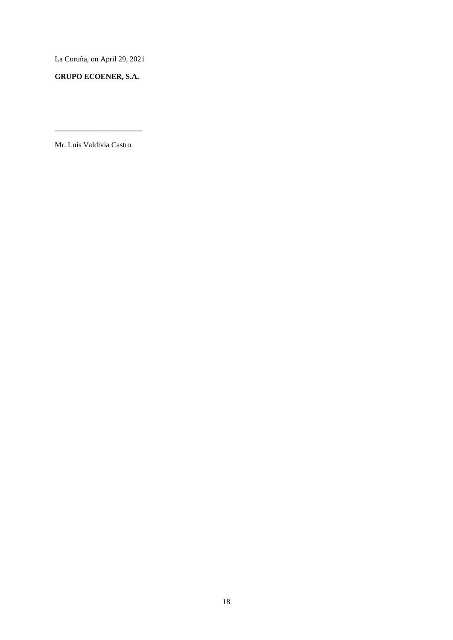La Coruña, on April 29, 2021

**GRUPO ECOENER, S.A.** 

Mr. Luis Valdivia Castro

\_\_\_\_\_\_\_\_\_\_\_\_\_\_\_\_\_\_\_\_\_\_\_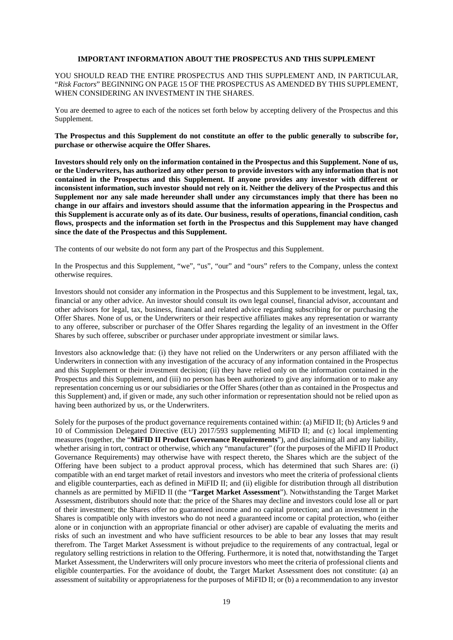#### **IMPORTANT INFORMATION ABOUT THE PROSPECTUS AND THIS SUPPLEMENT**

YOU SHOULD READ THE ENTIRE PROSPECTUS AND THIS SUPPLEMENT AND, IN PARTICULAR, "*Risk Factors*" BEGINNING ON PAGE 15 OF THE PROSPECTUS AS AMENDED BY THIS SUPPLEMENT, WHEN CONSIDERING AN INVESTMENT IN THE SHARES.

You are deemed to agree to each of the notices set forth below by accepting delivery of the Prospectus and this Supplement.

**The Prospectus and this Supplement do not constitute an offer to the public generally to subscribe for, purchase or otherwise acquire the Offer Shares.** 

**Investors should rely only on the information contained in the Prospectus and this Supplement. None of us, or the Underwriters, has authorized any other person to provide investors with any information that is not contained in the Prospectus and this Supplement. If anyone provides any investor with different or inconsistent information, such investor should not rely on it. Neither the delivery of the Prospectus and this Supplement nor any sale made hereunder shall under any circumstances imply that there has been no change in our affairs and investors should assume that the information appearing in the Prospectus and this Supplement is accurate only as of its date. Our business, results of operations, financial condition, cash flows, prospects and the information set forth in the Prospectus and this Supplement may have changed since the date of the Prospectus and this Supplement.** 

The contents of our website do not form any part of the Prospectus and this Supplement.

In the Prospectus and this Supplement, "we", "us", "our" and "ours" refers to the Company, unless the context otherwise requires.

Investors should not consider any information in the Prospectus and this Supplement to be investment, legal, tax, financial or any other advice. An investor should consult its own legal counsel, financial advisor, accountant and other advisors for legal, tax, business, financial and related advice regarding subscribing for or purchasing the Offer Shares. None of us, or the Underwriters or their respective affiliates makes any representation or warranty to any offeree, subscriber or purchaser of the Offer Shares regarding the legality of an investment in the Offer Shares by such offeree, subscriber or purchaser under appropriate investment or similar laws.

Investors also acknowledge that: (i) they have not relied on the Underwriters or any person affiliated with the Underwriters in connection with any investigation of the accuracy of any information contained in the Prospectus and this Supplement or their investment decision; (ii) they have relied only on the information contained in the Prospectus and this Supplement, and (iii) no person has been authorized to give any information or to make any representation concerning us or our subsidiaries or the Offer Shares (other than as contained in the Prospectus and this Supplement) and, if given or made, any such other information or representation should not be relied upon as having been authorized by us, or the Underwriters.

Solely for the purposes of the product governance requirements contained within: (a) MiFID II; (b) Articles 9 and 10 of Commission Delegated Directive (EU) 2017/593 supplementing MiFID II; and (c) local implementing measures (together, the "**MiFID II Product Governance Requirements**"), and disclaiming all and any liability, whether arising in tort, contract or otherwise, which any "manufacturer" (for the purposes of the MiFID II Product Governance Requirements) may otherwise have with respect thereto, the Shares which are the subject of the Offering have been subject to a product approval process, which has determined that such Shares are: (i) compatible with an end target market of retail investors and investors who meet the criteria of professional clients and eligible counterparties, each as defined in MiFID II; and (ii) eligible for distribution through all distribution channels as are permitted by MiFID II (the "**Target Market Assessment**"). Notwithstanding the Target Market Assessment, distributors should note that: the price of the Shares may decline and investors could lose all or part of their investment; the Shares offer no guaranteed income and no capital protection; and an investment in the Shares is compatible only with investors who do not need a guaranteed income or capital protection, who (either alone or in conjunction with an appropriate financial or other adviser) are capable of evaluating the merits and risks of such an investment and who have sufficient resources to be able to bear any losses that may result therefrom. The Target Market Assessment is without prejudice to the requirements of any contractual, legal or regulatory selling restrictions in relation to the Offering. Furthermore, it is noted that, notwithstanding the Target Market Assessment, the Underwriters will only procure investors who meet the criteria of professional clients and eligible counterparties. For the avoidance of doubt, the Target Market Assessment does not constitute: (a) an assessment of suitability or appropriateness for the purposes of MiFID II; or (b) a recommendation to any investor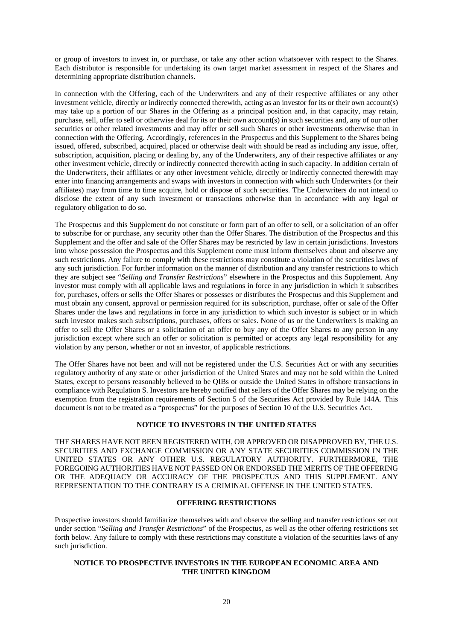or group of investors to invest in, or purchase, or take any other action whatsoever with respect to the Shares. Each distributor is responsible for undertaking its own target market assessment in respect of the Shares and determining appropriate distribution channels.

In connection with the Offering, each of the Underwriters and any of their respective affiliates or any other investment vehicle, directly or indirectly connected therewith, acting as an investor for its or their own account(s) may take up a portion of our Shares in the Offering as a principal position and, in that capacity, may retain, purchase, sell, offer to sell or otherwise deal for its or their own account(s) in such securities and, any of our other securities or other related investments and may offer or sell such Shares or other investments otherwise than in connection with the Offering. Accordingly, references in the Prospectus and this Supplement to the Shares being issued, offered, subscribed, acquired, placed or otherwise dealt with should be read as including any issue, offer, subscription, acquisition, placing or dealing by, any of the Underwriters, any of their respective affiliates or any other investment vehicle, directly or indirectly connected therewith acting in such capacity. In addition certain of the Underwriters, their affiliates or any other investment vehicle, directly or indirectly connected therewith may enter into financing arrangements and swaps with investors in connection with which such Underwriters (or their affiliates) may from time to time acquire, hold or dispose of such securities. The Underwriters do not intend to disclose the extent of any such investment or transactions otherwise than in accordance with any legal or regulatory obligation to do so.

The Prospectus and this Supplement do not constitute or form part of an offer to sell, or a solicitation of an offer to subscribe for or purchase, any security other than the Offer Shares. The distribution of the Prospectus and this Supplement and the offer and sale of the Offer Shares may be restricted by law in certain jurisdictions. Investors into whose possession the Prospectus and this Supplement come must inform themselves about and observe any such restrictions. Any failure to comply with these restrictions may constitute a violation of the securities laws of any such jurisdiction. For further information on the manner of distribution and any transfer restrictions to which they are subject see "*Selling and Transfer Restrictions*" elsewhere in the Prospectus and this Supplement. Any investor must comply with all applicable laws and regulations in force in any jurisdiction in which it subscribes for, purchases, offers or sells the Offer Shares or possesses or distributes the Prospectus and this Supplement and must obtain any consent, approval or permission required for its subscription, purchase, offer or sale of the Offer Shares under the laws and regulations in force in any jurisdiction to which such investor is subject or in which such investor makes such subscriptions, purchases, offers or sales. None of us or the Underwriters is making an offer to sell the Offer Shares or a solicitation of an offer to buy any of the Offer Shares to any person in any jurisdiction except where such an offer or solicitation is permitted or accepts any legal responsibility for any violation by any person, whether or not an investor, of applicable restrictions.

The Offer Shares have not been and will not be registered under the U.S. Securities Act or with any securities regulatory authority of any state or other jurisdiction of the United States and may not be sold within the United States, except to persons reasonably believed to be QIBs or outside the United States in offshore transactions in compliance with Regulation S. Investors are hereby notified that sellers of the Offer Shares may be relying on the exemption from the registration requirements of Section 5 of the Securities Act provided by Rule 144A. This document is not to be treated as a "prospectus" for the purposes of Section 10 of the U.S. Securities Act.

## **NOTICE TO INVESTORS IN THE UNITED STATES**

THE SHARES HAVE NOT BEEN REGISTERED WITH, OR APPROVED OR DISAPPROVED BY, THE U.S. SECURITIES AND EXCHANGE COMMISSION OR ANY STATE SECURITIES COMMISSION IN THE UNITED STATES OR ANY OTHER U.S. REGULATORY AUTHORITY. FURTHERMORE, THE FOREGOING AUTHORITIES HAVE NOT PASSED ON OR ENDORSED THE MERITS OF THE OFFERING OR THE ADEQUACY OR ACCURACY OF THE PROSPECTUS AND THIS SUPPLEMENT. ANY REPRESENTATION TO THE CONTRARY IS A CRIMINAL OFFENSE IN THE UNITED STATES.

# **OFFERING RESTRICTIONS**

Prospective investors should familiarize themselves with and observe the selling and transfer restrictions set out under section "*Selling and Transfer Restrictions*" of the Prospectus, as well as the other offering restrictions set forth below. Any failure to comply with these restrictions may constitute a violation of the securities laws of any such jurisdiction.

#### **NOTICE TO PROSPECTIVE INVESTORS IN THE EUROPEAN ECONOMIC AREA AND THE UNITED KINGDOM**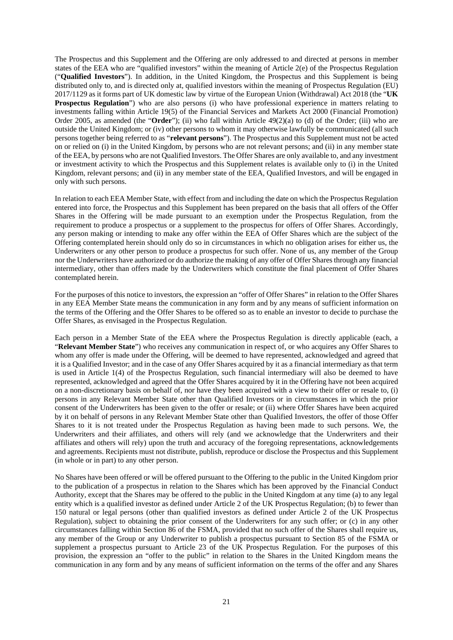The Prospectus and this Supplement and the Offering are only addressed to and directed at persons in member states of the EEA who are "qualified investors" within the meaning of Article 2(e) of the Prospectus Regulation ("**Qualified Investors**"). In addition, in the United Kingdom, the Prospectus and this Supplement is being distributed only to, and is directed only at, qualified investors within the meaning of Prospectus Regulation (EU) 2017/1129 as it forms part of UK domestic law by virtue of the European Union (Withdrawal) Act 2018 (the "**UK Prospectus Regulation**") who are also persons (i) who have professional experience in matters relating to investments falling within Article 19(5) of the Financial Services and Markets Act 2000 (Financial Promotion) Order 2005, as amended (the "**Order**"); (ii) who fall within Article 49(2)(a) to (d) of the Order; (iii) who are outside the United Kingdom; or (iv) other persons to whom it may otherwise lawfully be communicated (all such persons together being referred to as "**relevant persons**"). The Prospectus and this Supplement must not be acted on or relied on (i) in the United Kingdom, by persons who are not relevant persons; and (ii) in any member state of the EEA, by persons who are not Qualified Investors. The Offer Shares are only available to, and any investment or investment activity to which the Prospectus and this Supplement relates is available only to (i) in the United Kingdom, relevant persons; and (ii) in any member state of the EEA, Qualified Investors, and will be engaged in only with such persons.

In relation to each EEA Member State, with effect from and including the date on which the Prospectus Regulation entered into force, the Prospectus and this Supplement has been prepared on the basis that all offers of the Offer Shares in the Offering will be made pursuant to an exemption under the Prospectus Regulation, from the requirement to produce a prospectus or a supplement to the prospectus for offers of Offer Shares. Accordingly, any person making or intending to make any offer within the EEA of Offer Shares which are the subject of the Offering contemplated herein should only do so in circumstances in which no obligation arises for either us, the Underwriters or any other person to produce a prospectus for such offer. None of us, any member of the Group nor the Underwriters have authorized or do authorize the making of any offer of Offer Shares through any financial intermediary, other than offers made by the Underwriters which constitute the final placement of Offer Shares contemplated herein.

For the purposes of this notice to investors, the expression an "offer of Offer Shares" in relation to the Offer Shares in any EEA Member State means the communication in any form and by any means of sufficient information on the terms of the Offering and the Offer Shares to be offered so as to enable an investor to decide to purchase the Offer Shares, as envisaged in the Prospectus Regulation.

Each person in a Member State of the EEA where the Prospectus Regulation is directly applicable (each, a "**Relevant Member State**") who receives any communication in respect of, or who acquires any Offer Shares to whom any offer is made under the Offering, will be deemed to have represented, acknowledged and agreed that it is a Qualified Investor; and in the case of any Offer Shares acquired by it as a financial intermediary as that term is used in Article 1(4) of the Prospectus Regulation, such financial intermediary will also be deemed to have represented, acknowledged and agreed that the Offer Shares acquired by it in the Offering have not been acquired on a non-discretionary basis on behalf of, nor have they been acquired with a view to their offer or resale to, (i) persons in any Relevant Member State other than Qualified Investors or in circumstances in which the prior consent of the Underwriters has been given to the offer or resale; or (ii) where Offer Shares have been acquired by it on behalf of persons in any Relevant Member State other than Qualified Investors, the offer of those Offer Shares to it is not treated under the Prospectus Regulation as having been made to such persons. We, the Underwriters and their affiliates, and others will rely (and we acknowledge that the Underwriters and their affiliates and others will rely) upon the truth and accuracy of the foregoing representations, acknowledgements and agreements. Recipients must not distribute, publish, reproduce or disclose the Prospectus and this Supplement (in whole or in part) to any other person.

No Shares have been offered or will be offered pursuant to the Offering to the public in the United Kingdom prior to the publication of a prospectus in relation to the Shares which has been approved by the Financial Conduct Authority, except that the Shares may be offered to the public in the United Kingdom at any time (a) to any legal entity which is a qualified investor as defined under Article 2 of the UK Prospectus Regulation; (b) to fewer than 150 natural or legal persons (other than qualified investors as defined under Article 2 of the UK Prospectus Regulation), subject to obtaining the prior consent of the Underwriters for any such offer; or (c) in any other circumstances falling within Section 86 of the FSMA, provided that no such offer of the Shares shall require us, any member of the Group or any Underwriter to publish a prospectus pursuant to Section 85 of the FSMA or supplement a prospectus pursuant to Article 23 of the UK Prospectus Regulation. For the purposes of this provision, the expression an "offer to the public" in relation to the Shares in the United Kingdom means the communication in any form and by any means of sufficient information on the terms of the offer and any Shares